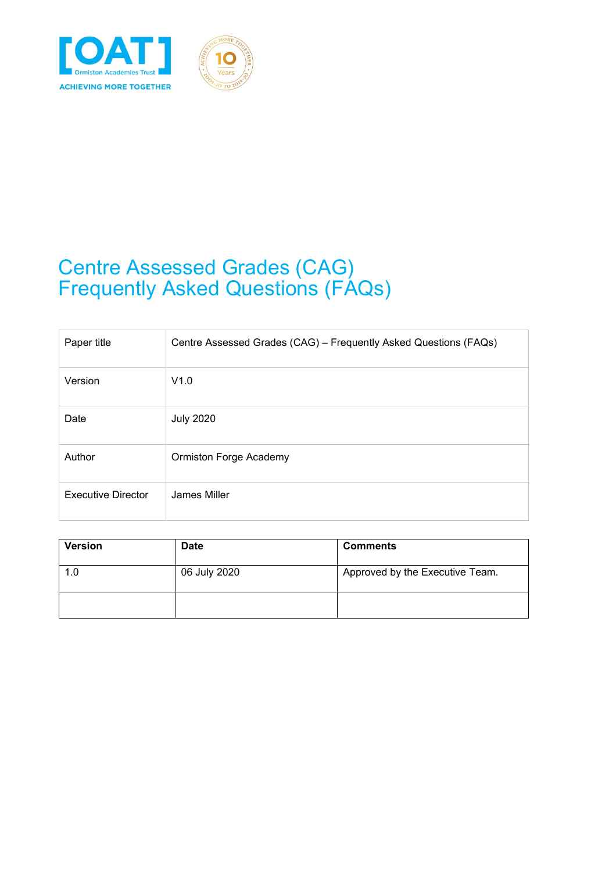

# Centre Assessed Grades (CAG) Frequently Asked Questions (FAQs)

| Paper title               | Centre Assessed Grades (CAG) - Frequently Asked Questions (FAQs) |
|---------------------------|------------------------------------------------------------------|
| Version                   | V1.0                                                             |
| Date                      | <b>July 2020</b>                                                 |
| Author                    | <b>Ormiston Forge Academy</b>                                    |
| <b>Executive Director</b> | James Miller                                                     |

| <b>Version</b> | <b>Date</b>  | <b>Comments</b>                 |
|----------------|--------------|---------------------------------|
| 1.0            | 06 July 2020 | Approved by the Executive Team. |
|                |              |                                 |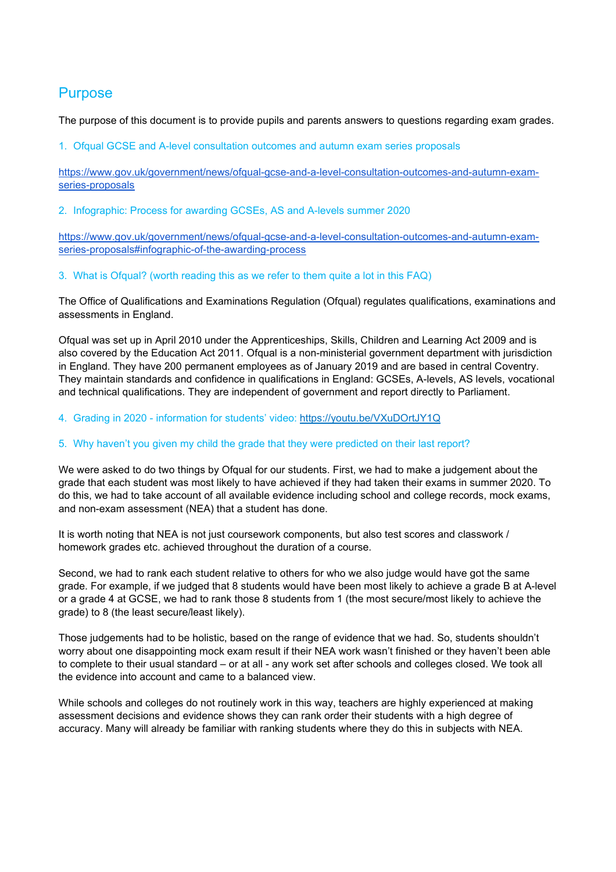## **Purpose**

The purpose of this document is to provide pupils and parents answers to questions regarding exam grades.

1. Ofqual GCSE and A-level consultation outcomes and autumn exam series proposals

[https://www.gov.uk/government/news/ofqual-gcse-and-a-level-consultation-outcomes-and-autumn-exam](https://www.gov.uk/government/news/ofqual-gcse-and-a-level-consultation-outcomes-and-autumn-exam-series-proposals)[series-proposals](https://www.gov.uk/government/news/ofqual-gcse-and-a-level-consultation-outcomes-and-autumn-exam-series-proposals)

2. Infographic: Process for awarding GCSEs, AS and A-levels summer 2020

[https://www.gov.uk/government/news/ofqual-gcse-and-a-level-consultation-outcomes-and-autumn-exam](https://www.gov.uk/government/news/ofqual-gcse-and-a-level-consultation-outcomes-and-autumn-exam-series-proposals#infographic-of-the-awarding-process)[series-proposals#infographic-of-the-awarding-process](https://www.gov.uk/government/news/ofqual-gcse-and-a-level-consultation-outcomes-and-autumn-exam-series-proposals#infographic-of-the-awarding-process)

3. What is Ofqual? (worth reading this as we refer to them quite a lot in this FAQ)

The Office of Qualifications and Examinations Regulation (Ofqual) regulates qualifications, examinations and assessments in England.

Ofqual was set up in April 2010 under the Apprenticeships, Skills, Children and Learning Act 2009 and is also covered by the Education Act 2011. Ofqual is a non-ministerial government department with jurisdiction in England. They have 200 permanent employees as of January 2019 and are based in central Coventry. They maintain standards and confidence in qualifications in England: GCSEs, A-levels, AS levels, vocational and technical qualifications. They are independent of government and report directly to Parliament.

4. Grading in 2020 - information for students' video: <https://youtu.be/VXuDOrtJY1Q>

## 5. Why haven't you given my child the grade that they were predicted on their last report?

We were asked to do two things by Ofqual for our students. First, we had to make a judgement about the grade that each student was most likely to have achieved if they had taken their exams in summer 2020. To do this, we had to take account of all available evidence including school and college records, mock exams, and non-exam assessment (NEA) that a student has done.

It is worth noting that NEA is not just coursework components, but also test scores and classwork / homework grades etc. achieved throughout the duration of a course.

Second, we had to rank each student relative to others for who we also judge would have got the same grade. For example, if we judged that 8 students would have been most likely to achieve a grade B at A-level or a grade 4 at GCSE, we had to rank those 8 students from 1 (the most secure/most likely to achieve the grade) to 8 (the least secure/least likely).

Those judgements had to be holistic, based on the range of evidence that we had. So, students shouldn't worry about one disappointing mock exam result if their NEA work wasn't finished or they haven't been able to complete to their usual standard – or at all - any work set after schools and colleges closed. We took all the evidence into account and came to a balanced view.

While schools and colleges do not routinely work in this way, teachers are highly experienced at making assessment decisions and evidence shows they can rank order their students with a high degree of accuracy. Many will already be familiar with ranking students where they do this in subjects with NEA.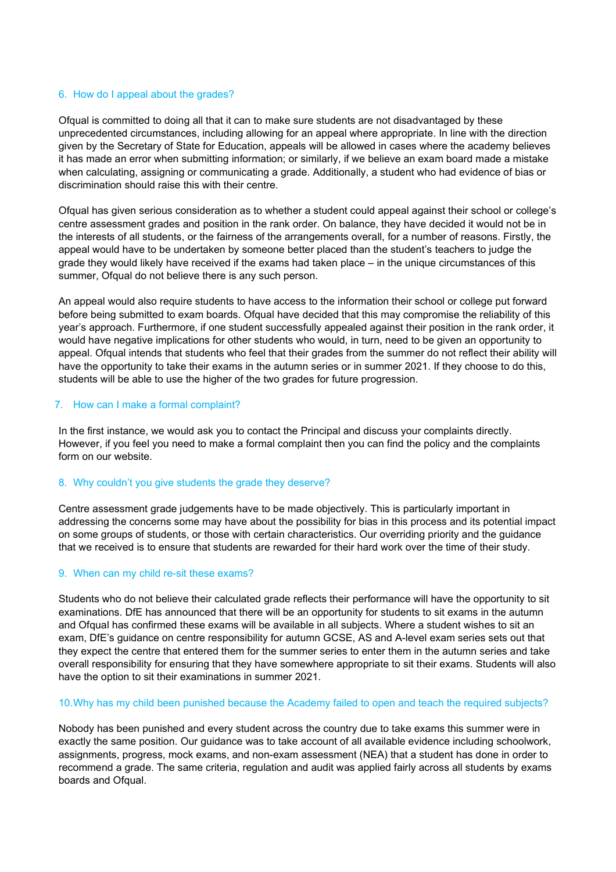#### 6. How do I appeal about the grades?

Ofqual is committed to doing all that it can to make sure students are not disadvantaged by these unprecedented circumstances, including allowing for an appeal where appropriate. In line with the direction given by the Secretary of State for Education, appeals will be allowed in cases where the academy believes it has made an error when submitting information; or similarly, if we believe an exam board made a mistake when calculating, assigning or communicating a grade. Additionally, a student who had evidence of bias or discrimination should raise this with their centre.

Ofqual has given serious consideration as to whether a student could appeal against their school or college's centre assessment grades and position in the rank order. On balance, they have decided it would not be in the interests of all students, or the fairness of the arrangements overall, for a number of reasons. Firstly, the appeal would have to be undertaken by someone better placed than the student's teachers to judge the grade they would likely have received if the exams had taken place – in the unique circumstances of this summer, Ofqual do not believe there is any such person.

An appeal would also require students to have access to the information their school or college put forward before being submitted to exam boards. Ofqual have decided that this may compromise the reliability of this year's approach. Furthermore, if one student successfully appealed against their position in the rank order, it would have negative implications for other students who would, in turn, need to be given an opportunity to appeal. Ofqual intends that students who feel that their grades from the summer do not reflect their ability will have the opportunity to take their exams in the autumn series or in summer 2021. If they choose to do this, students will be able to use the higher of the two grades for future progression.

## 7. How can I make a formal complaint?

In the first instance, we would ask you to contact the Principal and discuss your complaints directly. However, if you feel you need to make a formal complaint then you can find the policy and the complaints form on our website.

## 8. Why couldn't you give students the grade they deserve?

Centre assessment grade judgements have to be made objectively. This is particularly important in addressing the concerns some may have about the possibility for bias in this process and its potential impact on some groups of students, or those with certain characteristics. Our overriding priority and the guidance that we received is to ensure that students are rewarded for their hard work over the time of their study.

#### 9. When can my child re-sit these exams?

Students who do not believe their calculated grade reflects their performance will have the opportunity to sit examinations. DfE has announced that there will be an opportunity for students to sit exams in the autumn and Ofqual has confirmed these exams will be available in all subjects. Where a student wishes to sit an exam, DfE's guidance on centre responsibility for autumn GCSE, AS and A-level exam series sets out that they expect the centre that entered them for the summer series to enter them in the autumn series and take overall responsibility for ensuring that they have somewhere appropriate to sit their exams. Students will also have the option to sit their examinations in summer 2021.

#### 10.Why has my child been punished because the Academy failed to open and teach the required subjects?

Nobody has been punished and every student across the country due to take exams this summer were in exactly the same position. Our guidance was to take account of all available evidence including schoolwork, assignments, progress, mock exams, and non-exam assessment (NEA) that a student has done in order to recommend a grade. The same criteria, regulation and audit was applied fairly across all students by exams boards and Ofqual.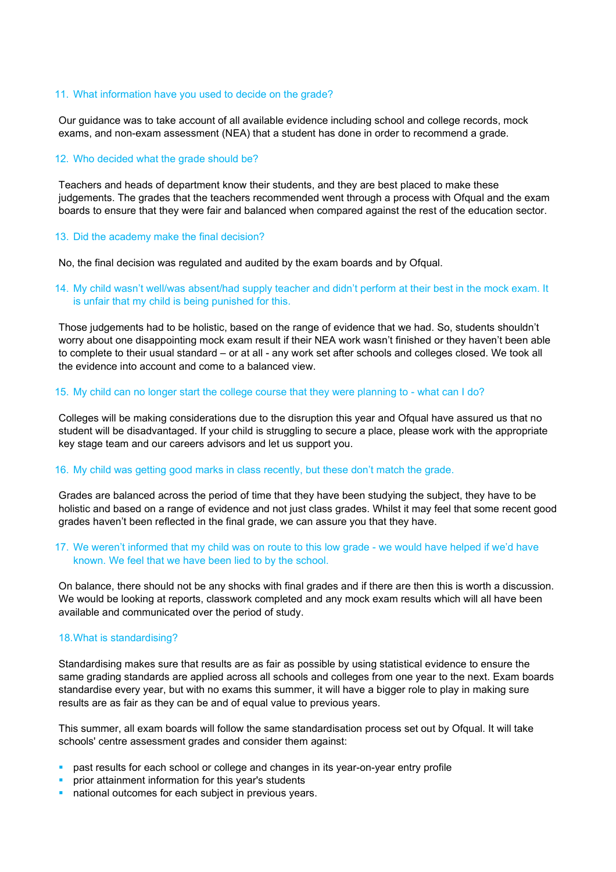#### 11. What information have you used to decide on the grade?

Our guidance was to take account of all available evidence including school and college records, mock exams, and non-exam assessment (NEA) that a student has done in order to recommend a grade.

#### 12. Who decided what the grade should be?

Teachers and heads of department know their students, and they are best placed to make these judgements. The grades that the teachers recommended went through a process with Ofqual and the exam boards to ensure that they were fair and balanced when compared against the rest of the education sector.

#### 13. Did the academy make the final decision?

No, the final decision was regulated and audited by the exam boards and by Ofqual.

## 14. My child wasn't well/was absent/had supply teacher and didn't perform at their best in the mock exam. It is unfair that my child is being punished for this.

Those judgements had to be holistic, based on the range of evidence that we had. So, students shouldn't worry about one disappointing mock exam result if their NEA work wasn't finished or they haven't been able to complete to their usual standard – or at all - any work set after schools and colleges closed. We took all the evidence into account and come to a balanced view.

#### 15. My child can no longer start the college course that they were planning to - what can I do?

Colleges will be making considerations due to the disruption this year and Ofqual have assured us that no student will be disadvantaged. If your child is struggling to secure a place, please work with the appropriate key stage team and our careers advisors and let us support you.

#### 16. My child was getting good marks in class recently, but these don't match the grade.

Grades are balanced across the period of time that they have been studying the subject, they have to be holistic and based on a range of evidence and not just class grades. Whilst it may feel that some recent good grades haven't been reflected in the final grade, we can assure you that they have.

#### 17. We weren't informed that my child was on route to this low grade - we would have helped if we'd have known. We feel that we have been lied to by the school.

On balance, there should not be any shocks with final grades and if there are then this is worth a discussion. We would be looking at reports, classwork completed and any mock exam results which will all have been available and communicated over the period of study.

#### 18.What is standardising?

Standardising makes sure that results are as fair as possible by using statistical evidence to ensure the same grading standards are applied across all schools and colleges from one year to the next. Exam boards standardise every year, but with no exams this summer, it will have a bigger role to play in making sure results are as fair as they can be and of equal value to previous years.

This summer, all exam boards will follow the same standardisation process set out by Ofqual. It will take schools' centre assessment grades and consider them against:

- **past results for each school or college and changes in its year-on-year entry profile**
- **PED FIGHT INTER INTER IN A THE INCRYS** in prior attainment information for this year's students
- national outcomes for each subject in previous years.